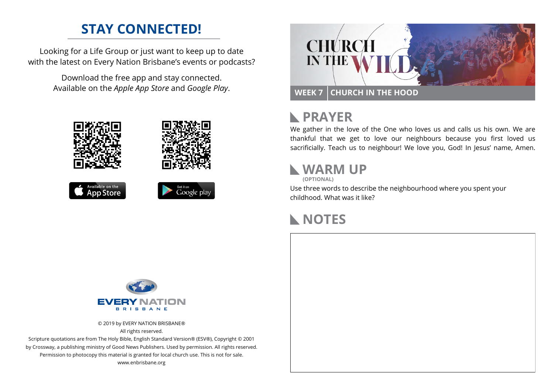## **STAY CONNECTED!**

Looking for a Life Group or just want to keep up to date with the latest on Every Nation Brisbane's events or podcasts?

> Download the free app and stay connected. Available on the *Apple App Store* and *Google Play*.





## **RAYER**

We gather in the love of the One who loves us and calls us his own. We are thankful that we get to love our neighbours because you first loved us sacrificially. Teach us to neighbour! We love you, God! In Jesus' name, Amen.

#### **WARM UP**

**(OPTIONAL)**

Use three words to describe the neighbourhood where you spent your childhood. What was it like?

#### **NOTES**



© 2019 by EVERY NATION BRISBANE® All rights reserved.

Scripture quotations are from The Holy Bible, English Standard Version® (ESV®), Copyright © 2001 by Crossway, a publishing ministry of Good News Publishers. Used by permission. All rights reserved. Permission to photocopy this material is granted for local church use. This is not for sale. www.enbrisbane.org